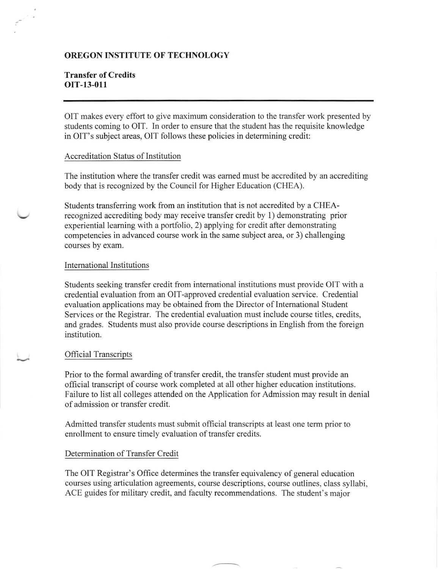### OREGON INSTITUTE OF TECHNOLOGY

## Transfer of Credits orr-13-011

OIT makes every effort to give maximum consideration to the transfer work presented by students coming to OIT. In order to ensure that the student has the requisite knowledge in OIT's subject areas, OIT follows these policies in determining credit:

#### Accreditation Status of Institution

The institution where the transfer credit was eamed must be accredited by an accrediting body that is recognized by the Council for Higher Education (CHEA).

Students transferring work from an institution that is not accredited by a CHEArecognized accrediting body may receive transfer credit by 1) demonstrating prior experiential leaming with a portfolio, 2) applying for credit after demonstrating competencies in advanced course work in the same subject area, or 3) challenging courses by exam.

#### International Institutions

Students seeking transfer credit from intemational institutions must provide OIT with a credential evaluation from an OlT-approved credential evaluation service. Credential evaluation applications may be obtained from the Director of Intemational Student Services or the Registrar. The credential evaluation must include course titles, credits, and grades. Students must also provide course descriptions in English from the foreign institution.

### Official Transcripts

Prior to the formal awarding of transfer credit, the transfer student must provide an official transcript of course work completed at all other higher education institutions. Failure to list all colleges attended on the Application for Admission may result in denial of admission or transfer credit.

Admitted transfer students must submit official transcripts at least one term prior to enrollment to ensure timely evaluation of transfer credits.

### Determination of Transfer Credit

The OIT Registrar's Office determines the transfer equivalency of general education courses using articulation agreements, course descriptions, course outlines, class syllabi, ACE guides for military credit, and faculty recommendations. The student's major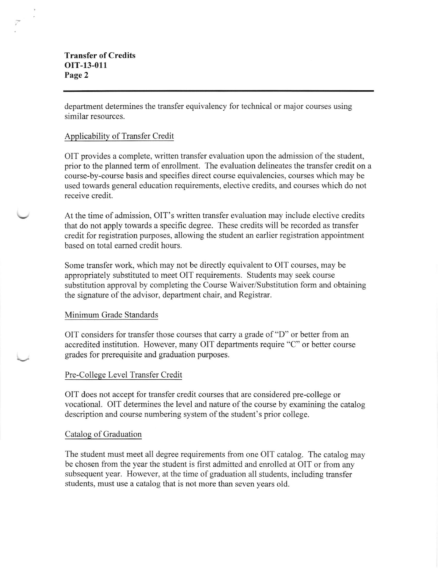# Transfer of Credits oIT-13-011 Page 2

department determines the transfer equivalency for technical or major courses using similar resources.

### Applicability of Transfer Credit

OIT provides a complete, written transfer evaluation upon the admission of the student, prior to the planned term of enrollment. The evaluation delineates the transfer credit on a course-by-course basis and specifies direct course equivalencies, courses which may be used towards general education requirements, elective credits, and courses which do not receive credit.

At the time of admission, OIT's written transfer evaluation may include elective credits that do not apply towards a specific degree. These credits will be recorded as transfer credit for registration purposes, allowing the sfudent an earlier registration appointment based on total eamed credit hours.

Some transfer work, which may not be directly equivalent to OIT courses, may be appropriately substituted to meet OIT requirements. Students may seek course substitution approval by completing the Course Waiver/Substitution form and obtaining the signature of the advisor, department chair, and Registrar.

### Minimum Grade Standards

OIT considers for transfer those courses that carry a grade of"D" or better from an accredited institution. However, many OIT departments require "C" or better course grades for prerequisite and graduation purposes.

## Pre-College Level Transfer Credit

OIT does not accept for transfer credit courses that are considered pre-college or vocational. OIT determines the level and nature of the course by examining the catalog description and course numbering system of the student's prior college.

### Catalog of Graduation

The student must meet all degree requirements from one OIT catalog. The catalog may be chosen from the year the student is first admitted and enrolled at OIT or from any subsequent year. However, at the time of graduation all students, including transfer students, must use a catalog that is not more than seven years old.